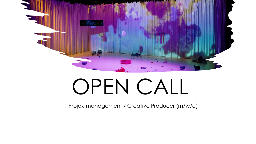

# OPEN CALL

Projektmanagement / Creative Producer (m/w/d)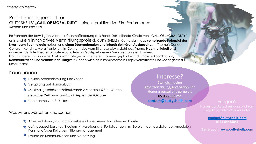*\*\*\*english below*

## Projektmanagement für CUTTY SHELLS' **"CALL OF MORAL DUTY"** – eine interaktive Live-Film-Performance (Stream und Präsenz)

Im Rahmen der bewilligten Wiederaufnahmeförderung des Fonds Darstellende Künste von "CALL OF MORAL DUTY" entstand ein innovatives Vermittlungsprojekt. CUTTY SHELLS möchte darin das **vernetzende Potenzial der Livestream-Technologie** nutzen und **einen überregionalen und interdisziplinären Austausch** zum Thema "Cancel Culture – Kunst vs. Moral" anleiten. Im Zentrum des Vermittlungsprojekts steht das Thema **Nachhaltigkeit** und inwieweit digitale Theaterformate – vor allem als Gastspiel – einen Mehrwert bringen können. Dafür ist bereits schon eine Austauschstrategie mit mehreren Häusern geplant – und für diese **Koordination, Kommunikation und vermittelnde Tätigkeit** suchen wir eine:n kompetente:n Projektvermittler:in und Manager:in für unser Team!

## Konditionen

- $\bigstar$  Flexible Arbeitseinteilung und Zeiten
- **★** Vergütung auf Honorarbasis
- Maximal geschätzter Zeitaufwand: 2 Monate / 5 Std. Woche **geplanter Zeitraum:** Juni/Juli + September/Oktober
- **★** Übernahme von Reisekosten

Was wir uns wünschen und suchen:

- Arbeitserfahrung im Produktionsbereich der freien darstellenden Künste
- ggf. abgeschlossenes Studium / Ausbildung / Fortbildungen im Bereich der darstellenden/medialen Kunst und/oder Kulturvermittlung/management
- Freude an Kommunikation und Vernetzung

## Interesse? Stell dich, deine Arbeitserfahrung, Motivation und Honorarvorstellung gerne bis 05.06.2022 vor. **[contact@cuttyshells.com](mailto:contact@cuttyshells.com)** Fragen?

#### **[contact@cuttyshells.com](mailto:contact@cuttyshells.com) 0176 54455841**

Siehe auch: **[www.cuttyshells.com](http://www.cuttyshells.com/)**